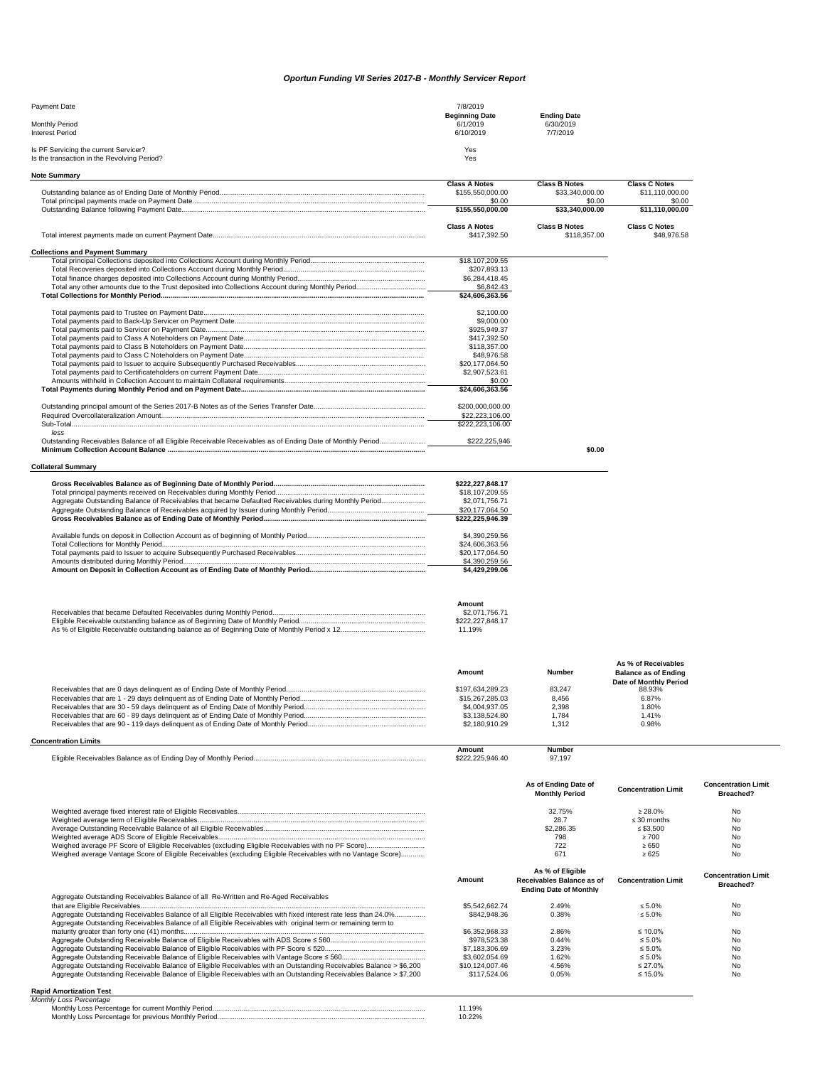## *Oportun Funding VII Series 2017-B - Monthly Servicer Report*

| Payment Date                                | 7/8/2019              |                       |
|---------------------------------------------|-----------------------|-----------------------|
|                                             | <b>Beginning Date</b> | <b>Ending Date</b>    |
| Monthly Period<br><b>Interest Period</b>    | 6/1/2019<br>6/10/2019 | 6/30/2019<br>7/7/2019 |
|                                             |                       |                       |
| Is PF Servicing the current Servicer?       | Yes                   |                       |
| Is the transaction in the Revolving Period? | Yes                   |                       |

| <b>Note Summary</b>                                                                                        |                      |                       |                             |                            |
|------------------------------------------------------------------------------------------------------------|----------------------|-----------------------|-----------------------------|----------------------------|
|                                                                                                            | <b>Class A Notes</b> | <b>Class B Notes</b>  | <b>Class C Notes</b>        |                            |
|                                                                                                            | \$155,550,000.00     | \$33,340,000.00       | \$11,110,000.00             |                            |
|                                                                                                            | \$0.00               | \$0.00                | \$0.00                      |                            |
|                                                                                                            | \$155.550.000.00     | \$33,340,000.00       | \$11,110,000.00             |                            |
|                                                                                                            |                      |                       |                             |                            |
|                                                                                                            | <b>Class A Notes</b> | <b>Class B Notes</b>  | <b>Class C Notes</b>        |                            |
|                                                                                                            | \$417,392.50         | \$118,357.00          | \$48,976.58                 |                            |
|                                                                                                            |                      |                       |                             |                            |
| <b>Collections and Payment Summary</b>                                                                     | \$18,107,209.55      |                       |                             |                            |
|                                                                                                            |                      |                       |                             |                            |
|                                                                                                            | \$207,893.13         |                       |                             |                            |
|                                                                                                            | \$6,284,418.45       |                       |                             |                            |
|                                                                                                            | \$6,842.43           |                       |                             |                            |
|                                                                                                            | \$24,606,363.56      |                       |                             |                            |
|                                                                                                            |                      |                       |                             |                            |
|                                                                                                            | \$2,100.00           |                       |                             |                            |
|                                                                                                            | \$9,000.00           |                       |                             |                            |
|                                                                                                            | \$925,949.37         |                       |                             |                            |
|                                                                                                            | \$417,392.50         |                       |                             |                            |
|                                                                                                            | \$118,357.00         |                       |                             |                            |
|                                                                                                            | \$48,976.58          |                       |                             |                            |
|                                                                                                            | \$20,177,064.50      |                       |                             |                            |
|                                                                                                            | \$2,907,523.61       |                       |                             |                            |
|                                                                                                            | \$0.00               |                       |                             |                            |
|                                                                                                            | \$24,606,363.56      |                       |                             |                            |
|                                                                                                            |                      |                       |                             |                            |
|                                                                                                            | \$200,000,000.00     |                       |                             |                            |
|                                                                                                            |                      |                       |                             |                            |
|                                                                                                            | \$22,223,106.00      |                       |                             |                            |
|                                                                                                            | \$222,223,106.00     |                       |                             |                            |
| A                                                                                                          |                      |                       |                             |                            |
| Outstanding Receivables Balance of all Eligible Receivable Receivables as of Ending Date of Monthly Period | \$222,225,946        |                       |                             |                            |
|                                                                                                            |                      | \$0.00                |                             |                            |
|                                                                                                            |                      |                       |                             |                            |
| <b>Collateral Summary</b>                                                                                  |                      |                       |                             |                            |
|                                                                                                            |                      |                       |                             |                            |
|                                                                                                            | \$222,227,848.17     |                       |                             |                            |
|                                                                                                            | \$18,107,209.55      |                       |                             |                            |
| Aggregate Outstanding Balance of Receivables that became Defaulted Receivables during Monthly Period       | \$2,071,756.71       |                       |                             |                            |
|                                                                                                            | \$20,177,064.50      |                       |                             |                            |
|                                                                                                            | \$222,225,946.39     |                       |                             |                            |
|                                                                                                            |                      |                       |                             |                            |
|                                                                                                            | \$4,390,259.56       |                       |                             |                            |
|                                                                                                            | \$24,606,363.56      |                       |                             |                            |
|                                                                                                            | \$20,177,064.50      |                       |                             |                            |
|                                                                                                            | \$4,390,259.56       |                       |                             |                            |
|                                                                                                            | \$4,429,299.06       |                       |                             |                            |
|                                                                                                            |                      |                       |                             |                            |
|                                                                                                            |                      |                       |                             |                            |
|                                                                                                            |                      |                       |                             |                            |
|                                                                                                            | Amount               |                       |                             |                            |
|                                                                                                            | \$2,071,756.71       |                       |                             |                            |
|                                                                                                            | \$222,227,848.17     |                       |                             |                            |
|                                                                                                            | 11.19%               |                       |                             |                            |
|                                                                                                            |                      |                       |                             |                            |
|                                                                                                            |                      |                       |                             |                            |
|                                                                                                            |                      |                       |                             |                            |
|                                                                                                            |                      |                       | As % of Receivables         |                            |
|                                                                                                            | Amount               | <b>Number</b>         | <b>Balance as of Ending</b> |                            |
|                                                                                                            |                      |                       | Date of Monthly Period      |                            |
|                                                                                                            | \$197,634,289.23     | 83,247                | 88.93%                      |                            |
|                                                                                                            | \$15,267,285.03      | 8,456                 | 6.87%                       |                            |
|                                                                                                            | \$4,004,937.05       | 2,398                 | 1.80%                       |                            |
|                                                                                                            | \$3,138,524.80       |                       | 1.41%                       |                            |
|                                                                                                            |                      | 1,784                 |                             |                            |
|                                                                                                            | \$2,180,910.29       | 1,312                 | 0.98%                       |                            |
| <b>Concentration Limits</b>                                                                                |                      |                       |                             |                            |
|                                                                                                            | Amount               | Number                |                             |                            |
|                                                                                                            | \$222,225,946.40     | 97,197                |                             |                            |
|                                                                                                            |                      |                       |                             |                            |
|                                                                                                            |                      |                       |                             |                            |
|                                                                                                            |                      | As of Ending Date of  | <b>Concentration Limit</b>  | <b>Concentration Limit</b> |
|                                                                                                            |                      | <b>Monthly Period</b> |                             | Breached?                  |
|                                                                                                            |                      |                       |                             |                            |
|                                                                                                            |                      | 32.75%<br>28.7        | $\geq 28.0\%$               | No                         |
|                                                                                                            |                      |                       | $\leq 30$ months            | No                         |
|                                                                                                            |                      | \$2,286.35            | $\leq$ \$3,500              | No                         |
|                                                                                                            |                      | 798                   | $\geq 700$                  | No                         |

|                                                                                                              | . 651 |  |
|--------------------------------------------------------------------------------------------------------------|-------|--|
| Weighed average Vantage Score of Eligible Receivables (excluding Eligible Receivables with no Vantage Score) | . b/: |  |

|                                                                                                                                                                                                                                 | Amount          | As % of Eligible<br>Receivables Balance as of<br><b>Ending Date of Monthly</b> | <b>Concentration Limit</b> | <b>Concentration Limit</b><br>Breached? |
|---------------------------------------------------------------------------------------------------------------------------------------------------------------------------------------------------------------------------------|-----------------|--------------------------------------------------------------------------------|----------------------------|-----------------------------------------|
| Aggregate Outstanding Receivables Balance of all Re-Written and Re-Aged Receivables                                                                                                                                             |                 |                                                                                |                            |                                         |
|                                                                                                                                                                                                                                 | \$5,542,662,74  | 2.49%                                                                          | $< 5.0\%$                  | No                                      |
| Aggregate Outstanding Receivables Balance of all Eligible Receivables with fixed interest rate less than 24.0%<br>Aggregate Outstanding Receivables Balance of all Eligible Receivables with original term or remaining term to | \$842,948,36    | 0.38%                                                                          | $\leq 5.0\%$               | No                                      |
|                                                                                                                                                                                                                                 | \$6,352,968,33  | 2.86%                                                                          | $\leq 10.0\%$              | No                                      |
|                                                                                                                                                                                                                                 | \$978,523,38    | 0.44%                                                                          | $\leq 5.0\%$               | No                                      |
|                                                                                                                                                                                                                                 | \$7,183,306.69  | 3.23%                                                                          | $\leq 5.0\%$               | No                                      |
|                                                                                                                                                                                                                                 | \$3.602.054.69  | 1.62%                                                                          | $\leq 5.0\%$               | No                                      |
| Aggregate Outstanding Receivable Balance of Eligible Receivables with an Outstanding Receivables Balance > \$6,200                                                                                                              | \$10,124,007.46 | 4.56%                                                                          | $\leq$ 27.0%               | No                                      |
| Aggregate Outstanding Receivable Balance of Eligible Receivables with an Outstanding Receivables Balance > \$7,200                                                                                                              | \$117,524.06    | 0.05%                                                                          | $\leq 15.0\%$              | No                                      |

## **Rapid Amortization Test** *Monthly Loss Percentage*

| muny Loss Percentage                                |  |
|-----------------------------------------------------|--|
| Monthly Loss Percentage for current Monthly Period  |  |
| Monthly Loss Percentage for previous Monthly Period |  |
|                                                     |  |